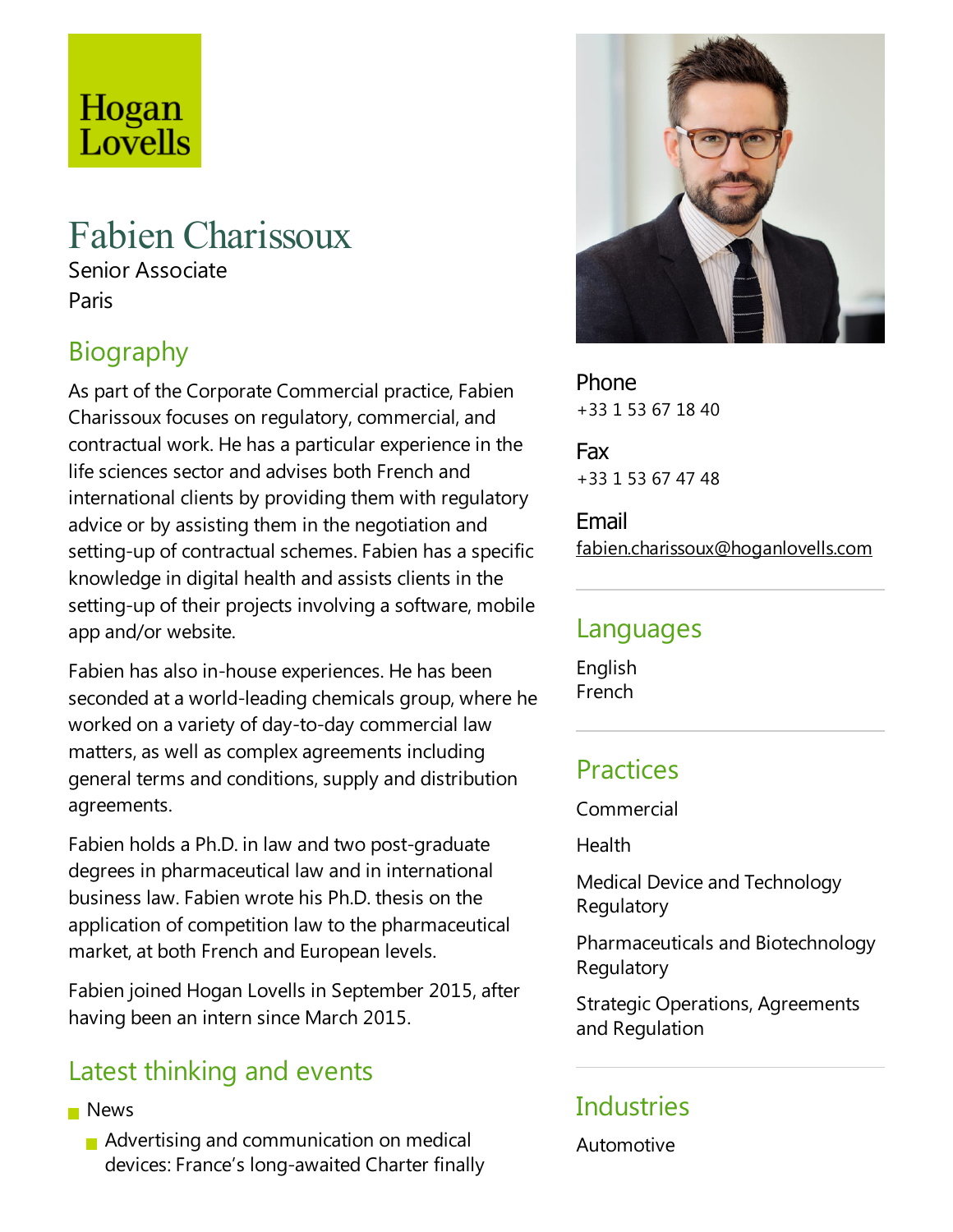# Hogan Lovells

## Fabien Charissoux

Senior Associate Paris

## Biography

As part of the Corporate Commercial practice, Fabien Charissoux focuses on regulatory, commercial, and contractual work. He has a particular experience in the life sciences sector and advises both French and international clients by providing them with regulatory advice or by assisting them in the negotiation and setting-up of contractual schemes. Fabien has a specific knowledge in digital health and assists clients in the setting-up of their projects involving a software, mobile app and/or website.

Fabien has also in-house experiences. He has been seconded at a world-leading chemicals group, where he worked on avariety of day-to-day commercial law matters, as well as complex agreements including general terms and conditions, supply and distribution agreements.

Fabien holds a Ph.D. in law and two post-graduate degrees in pharmaceutical law and in international business law.Fabien wrote his Ph.D. thesis on the application of competition law to the pharmaceutical market,at both French and European levels.

Fabien joined Hogan Lovells in September 2015, after having been an intern since March 2015.

### Latest thinking and events

- **News** 
	- **Advertising and communication on medical** devices: France's long-awaited Charter finally



Phone +33 1 53 67 18 40

Fax +33 1 53 67 47 48

Email fabien.charissoux@hoganlovells.com

#### Languages

English French

#### Practices

Commercial

**Health** 

Medical Device and Technology Regulatory

Pharmaceuticals and Biotechnology **Regulatory** 

Strategic Operations, Agreements and Regulation

#### **Industries**

Automotive